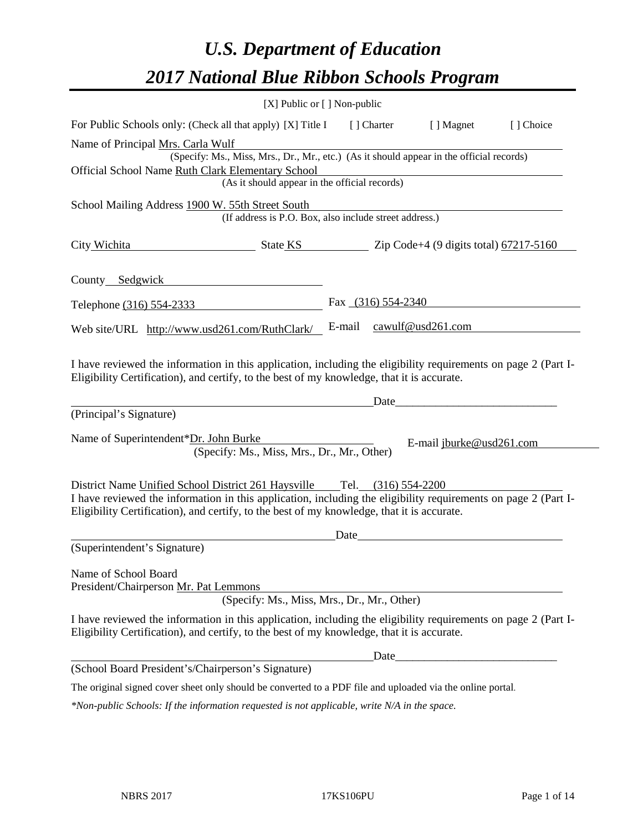# *U.S. Department of Education 2017 National Blue Ribbon Schools Program*

|                                                                                                                                                                                                              | [X] Public or [] Non-public |                      |                          |           |
|--------------------------------------------------------------------------------------------------------------------------------------------------------------------------------------------------------------|-----------------------------|----------------------|--------------------------|-----------|
| For Public Schools only: (Check all that apply) [X] Title I                                                                                                                                                  |                             | [ ] Charter          | [ ] Magnet               | [] Choice |
| Name of Principal Mrs. Carla Wulf                                                                                                                                                                            |                             |                      |                          |           |
| (Specify: Ms., Miss, Mrs., Dr., Mr., etc.) (As it should appear in the official records)                                                                                                                     |                             |                      |                          |           |
| Official School Name Ruth Clark Elementary School<br>(As it should appear in the official records)                                                                                                           |                             |                      |                          |           |
|                                                                                                                                                                                                              |                             |                      |                          |           |
| School Mailing Address 1900 W. 55th Street South<br>(If address is P.O. Box, also include street address.)                                                                                                   |                             |                      |                          |           |
| City Wichita<br>$\frac{1}{2}$ State KS $\frac{1}{2}$ Zip Code+4 (9 digits total) $\frac{67217-5160}{2}$                                                                                                      |                             |                      |                          |           |
| County Sedgwick                                                                                                                                                                                              |                             |                      |                          |           |
| Telephone (316) 554-2333                                                                                                                                                                                     |                             | Fax $(316)$ 554-2340 |                          |           |
| Web site/URL http://www.usd261.com/RuthClark/                                                                                                                                                                | E-mail                      |                      | cawulf@usd261.com        |           |
| I have reviewed the information in this application, including the eligibility requirements on page 2 (Part I-<br>Eligibility Certification), and certify, to the best of my knowledge, that it is accurate. |                             | Date                 |                          |           |
| (Principal's Signature)                                                                                                                                                                                      |                             |                      |                          |           |
| Name of Superintendent*Dr. John Burke<br>(Specify: Ms., Miss, Mrs., Dr., Mr., Other)                                                                                                                         |                             |                      | E-mail jburke@usd261.com |           |
| District Name Unified School District 261 Haysville Tel. (316) 554-2200                                                                                                                                      |                             |                      |                          |           |
| I have reviewed the information in this application, including the eligibility requirements on page 2 (Part I-<br>Eligibility Certification), and certify, to the best of my knowledge, that it is accurate. |                             |                      |                          |           |
|                                                                                                                                                                                                              | Date                        |                      |                          |           |
| (Superintendent's Signature)                                                                                                                                                                                 |                             |                      |                          |           |
| Name of School Board<br>President/Chairperson Mr. Pat Lemmons                                                                                                                                                |                             |                      |                          |           |
| (Specify: Ms., Miss, Mrs., Dr., Mr., Other)                                                                                                                                                                  |                             |                      |                          |           |
| I have reviewed the information in this application, including the eligibility requirements on page 2 (Part I-<br>Eligibility Certification), and certify, to the best of my knowledge, that it is accurate. |                             |                      |                          |           |
|                                                                                                                                                                                                              |                             | Date                 |                          |           |
| (School Board President's/Chairperson's Signature)                                                                                                                                                           |                             |                      |                          |           |
| The original signed cover sheet only should be converted to a PDF file and uploaded via the online portal.                                                                                                   |                             |                      |                          |           |
| *Non-public Schools: If the information requested is not applicable, write N/A in the space.                                                                                                                 |                             |                      |                          |           |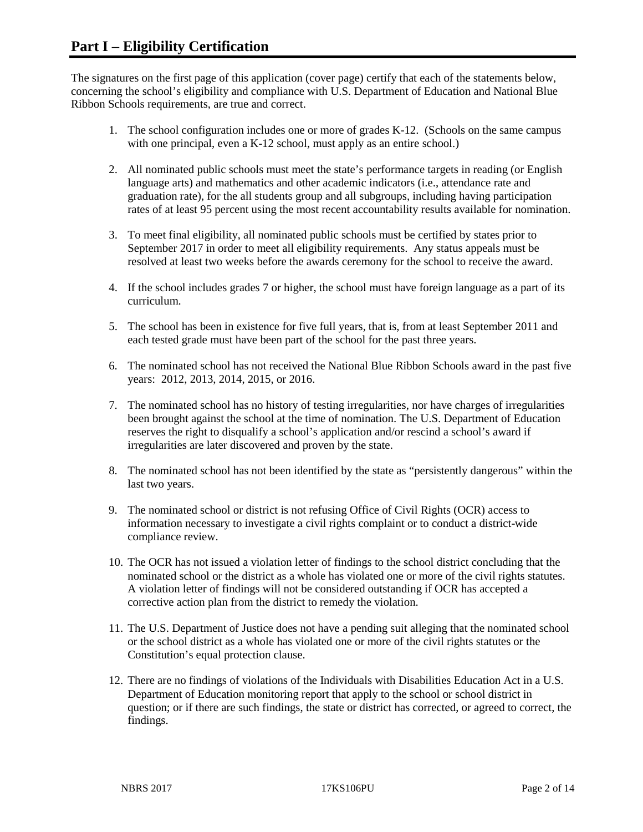The signatures on the first page of this application (cover page) certify that each of the statements below, concerning the school's eligibility and compliance with U.S. Department of Education and National Blue Ribbon Schools requirements, are true and correct.

- 1. The school configuration includes one or more of grades K-12. (Schools on the same campus with one principal, even a K-12 school, must apply as an entire school.)
- 2. All nominated public schools must meet the state's performance targets in reading (or English language arts) and mathematics and other academic indicators (i.e., attendance rate and graduation rate), for the all students group and all subgroups, including having participation rates of at least 95 percent using the most recent accountability results available for nomination.
- 3. To meet final eligibility, all nominated public schools must be certified by states prior to September 2017 in order to meet all eligibility requirements. Any status appeals must be resolved at least two weeks before the awards ceremony for the school to receive the award.
- 4. If the school includes grades 7 or higher, the school must have foreign language as a part of its curriculum.
- 5. The school has been in existence for five full years, that is, from at least September 2011 and each tested grade must have been part of the school for the past three years.
- 6. The nominated school has not received the National Blue Ribbon Schools award in the past five years: 2012, 2013, 2014, 2015, or 2016.
- 7. The nominated school has no history of testing irregularities, nor have charges of irregularities been brought against the school at the time of nomination. The U.S. Department of Education reserves the right to disqualify a school's application and/or rescind a school's award if irregularities are later discovered and proven by the state.
- 8. The nominated school has not been identified by the state as "persistently dangerous" within the last two years.
- 9. The nominated school or district is not refusing Office of Civil Rights (OCR) access to information necessary to investigate a civil rights complaint or to conduct a district-wide compliance review.
- 10. The OCR has not issued a violation letter of findings to the school district concluding that the nominated school or the district as a whole has violated one or more of the civil rights statutes. A violation letter of findings will not be considered outstanding if OCR has accepted a corrective action plan from the district to remedy the violation.
- 11. The U.S. Department of Justice does not have a pending suit alleging that the nominated school or the school district as a whole has violated one or more of the civil rights statutes or the Constitution's equal protection clause.
- 12. There are no findings of violations of the Individuals with Disabilities Education Act in a U.S. Department of Education monitoring report that apply to the school or school district in question; or if there are such findings, the state or district has corrected, or agreed to correct, the findings.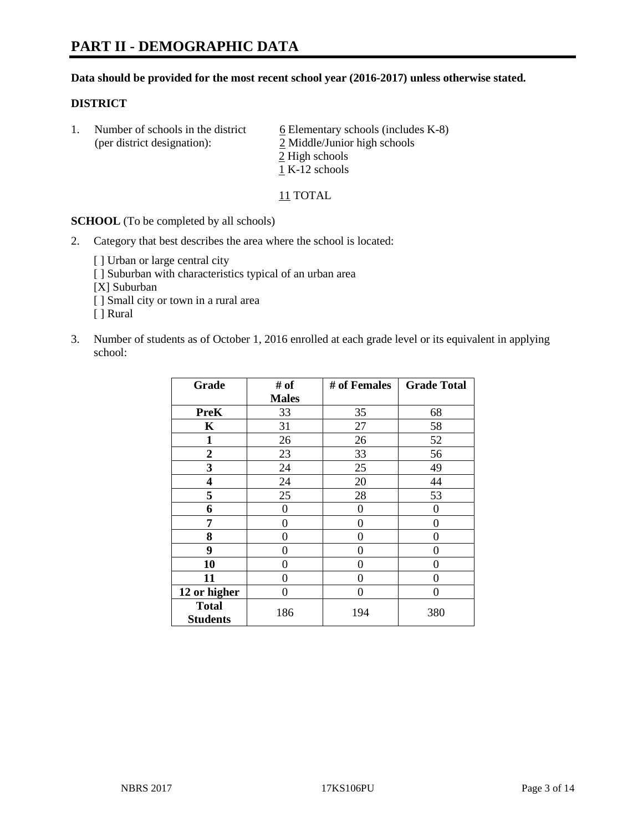### **Data should be provided for the most recent school year (2016-2017) unless otherwise stated.**

## **DISTRICT**

1. Number of schools in the district  $6$  Elementary schools (includes K-8) (per district designation): 2 Middle/Junior high schools 2 High schools 1 K-12 schools

11 TOTAL

**SCHOOL** (To be completed by all schools)

- 2. Category that best describes the area where the school is located:
	- [] Urban or large central city [ ] Suburban with characteristics typical of an urban area [X] Suburban [ ] Small city or town in a rural area [ ] Rural
- 3. Number of students as of October 1, 2016 enrolled at each grade level or its equivalent in applying school:

| Grade                           | # of         | # of Females | <b>Grade Total</b> |
|---------------------------------|--------------|--------------|--------------------|
|                                 | <b>Males</b> |              |                    |
| <b>PreK</b>                     | 33           | 35           | 68                 |
| $\mathbf K$                     | 31           | 27           | 58                 |
| $\mathbf{1}$                    | 26           | 26           | 52                 |
| $\overline{2}$                  | 23           | 33           | 56                 |
| 3                               | 24           | 25           | 49                 |
| 4                               | 24           | 20           | 44                 |
| 5                               | 25           | 28           | 53                 |
| 6                               | 0            | $\theta$     | 0                  |
| 7                               | 0            | 0            | 0                  |
| 8                               | 0            | 0            | 0                  |
| 9                               | 0            | 0            | 0                  |
| 10                              | 0            | 0            | 0                  |
| 11                              | 0            | 0            | $\mathbf{\Omega}$  |
| 12 or higher                    | 0            | 0            | 0                  |
| <b>Total</b><br><b>Students</b> | 186          | 194          | 380                |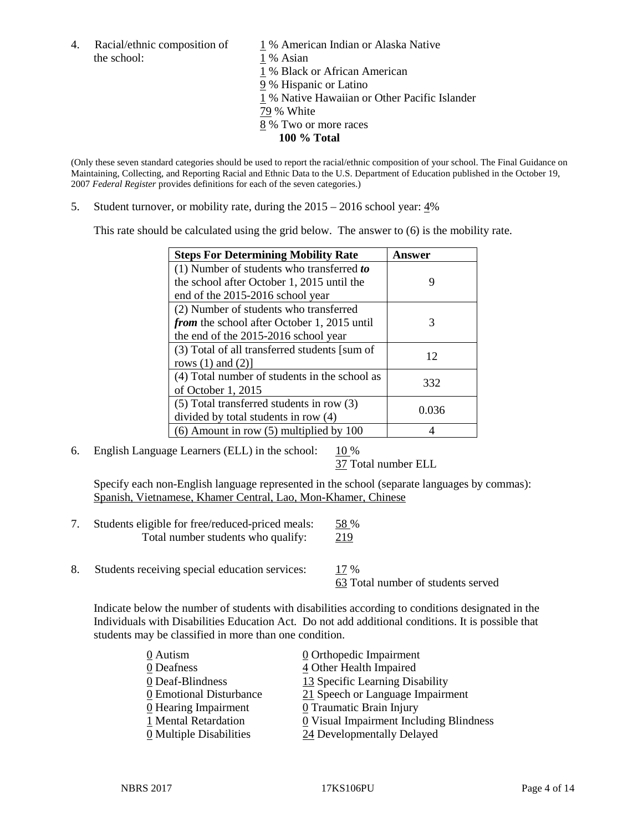4. Racial/ethnic composition of  $1\%$  American Indian or Alaska Native the school: 1 % Asian

 % Black or African American % Hispanic or Latino % Native Hawaiian or Other Pacific Islander 79 % White % Two or more races **100 % Total**

(Only these seven standard categories should be used to report the racial/ethnic composition of your school. The Final Guidance on Maintaining, Collecting, and Reporting Racial and Ethnic Data to the U.S. Department of Education published in the October 19, 2007 *Federal Register* provides definitions for each of the seven categories.)

5. Student turnover, or mobility rate, during the 2015 – 2016 school year: 4%

This rate should be calculated using the grid below. The answer to (6) is the mobility rate.

| <b>Steps For Determining Mobility Rate</b>         | Answer |
|----------------------------------------------------|--------|
| (1) Number of students who transferred to          |        |
| the school after October 1, 2015 until the         | 9      |
| end of the 2015-2016 school year                   |        |
| (2) Number of students who transferred             |        |
| <i>from</i> the school after October 1, 2015 until | 3      |
| the end of the 2015-2016 school year               |        |
| (3) Total of all transferred students [sum of      | 12     |
| rows $(1)$ and $(2)$ ]                             |        |
| (4) Total number of students in the school as      | 332    |
| of October 1, 2015                                 |        |
| $(5)$ Total transferred students in row $(3)$      | 0.036  |
| divided by total students in row (4)               |        |
| $(6)$ Amount in row $(5)$ multiplied by 100        |        |

6. English Language Learners (ELL) in the school:  $10\%$ 

37 Total number ELL

Specify each non-English language represented in the school (separate languages by commas): Spanish, Vietnamese, Khamer Central, Lao, Mon-Khamer, Chinese

- 7. Students eligible for free/reduced-priced meals: 58 % Total number students who qualify: 219
- 8. Students receiving special education services: 17 %

63 Total number of students served

Indicate below the number of students with disabilities according to conditions designated in the Individuals with Disabilities Education Act. Do not add additional conditions. It is possible that students may be classified in more than one condition.

| 0 Autism                              | 0 Orthopedic Impairment                 |
|---------------------------------------|-----------------------------------------|
| 0 Deafness                            | 4 Other Health Impaired                 |
| 0 Deaf-Blindness                      | 13 Specific Learning Disability         |
| 0 Emotional Disturbance               | 21 Speech or Language Impairment        |
| 0 Hearing Impairment                  | 0 Traumatic Brain Injury                |
| 1 Mental Retardation                  | 0 Visual Impairment Including Blindness |
| $\underline{0}$ Multiple Disabilities | 24 Developmentally Delayed              |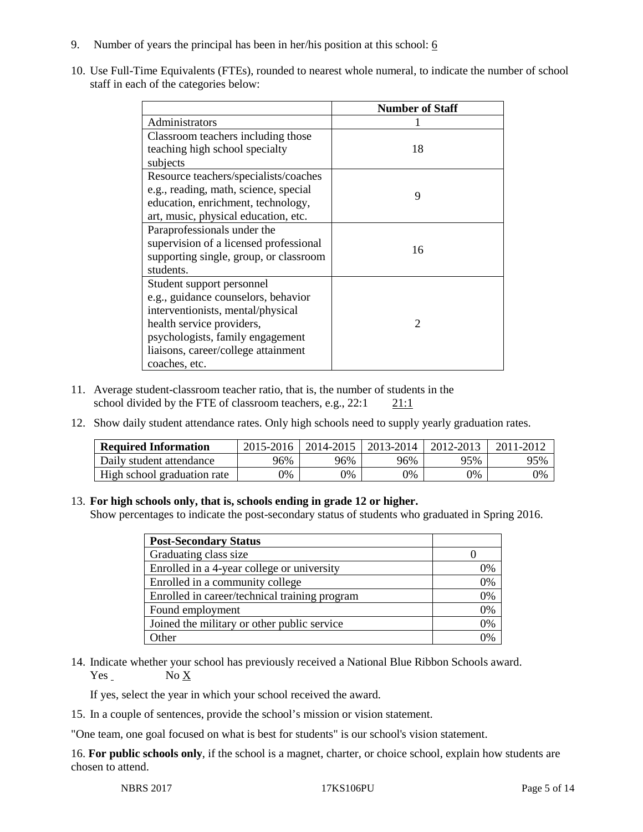- 9. Number of years the principal has been in her/his position at this school:  $6$
- 10. Use Full-Time Equivalents (FTEs), rounded to nearest whole numeral, to indicate the number of school staff in each of the categories below:

|                                        | <b>Number of Staff</b> |
|----------------------------------------|------------------------|
| Administrators                         |                        |
| Classroom teachers including those     |                        |
| teaching high school specialty         | 18                     |
| subjects                               |                        |
| Resource teachers/specialists/coaches  |                        |
| e.g., reading, math, science, special  | 9                      |
| education, enrichment, technology,     |                        |
| art, music, physical education, etc.   |                        |
| Paraprofessionals under the            |                        |
| supervision of a licensed professional | 16                     |
| supporting single, group, or classroom |                        |
| students.                              |                        |
| Student support personnel              |                        |
| e.g., guidance counselors, behavior    |                        |
| interventionists, mental/physical      |                        |
| health service providers,              | $\mathcal{D}$          |
| psychologists, family engagement       |                        |
| liaisons, career/college attainment    |                        |
| coaches, etc.                          |                        |

- 11. Average student-classroom teacher ratio, that is, the number of students in the school divided by the FTE of classroom teachers, e.g.,  $22:1$  21:1
- 12. Show daily student attendance rates. Only high schools need to supply yearly graduation rates.

| <b>Required Information</b> | 2015-2016 | 2014-2015 | 2013-2014 | 2012-2013 |     |
|-----------------------------|-----------|-----------|-----------|-----------|-----|
| Daily student attendance    | 96%       | 96%       | 96%       | 95%       | 95% |
| High school graduation rate | 0%        | 0%        | 0%        | 9%        | 0%  |

#### 13. **For high schools only, that is, schools ending in grade 12 or higher.**

Show percentages to indicate the post-secondary status of students who graduated in Spring 2016.

| <b>Post-Secondary Status</b>                  |    |
|-----------------------------------------------|----|
| Graduating class size                         |    |
| Enrolled in a 4-year college or university    | 0% |
| Enrolled in a community college               | 0% |
| Enrolled in career/technical training program | 0% |
| Found employment                              | 0% |
| Joined the military or other public service   | 0% |
| Other                                         |    |

14. Indicate whether your school has previously received a National Blue Ribbon Schools award.  $Yes$  No  $X$ 

If yes, select the year in which your school received the award.

15. In a couple of sentences, provide the school's mission or vision statement.

"One team, one goal focused on what is best for students" is our school's vision statement.

16. **For public schools only**, if the school is a magnet, charter, or choice school, explain how students are chosen to attend.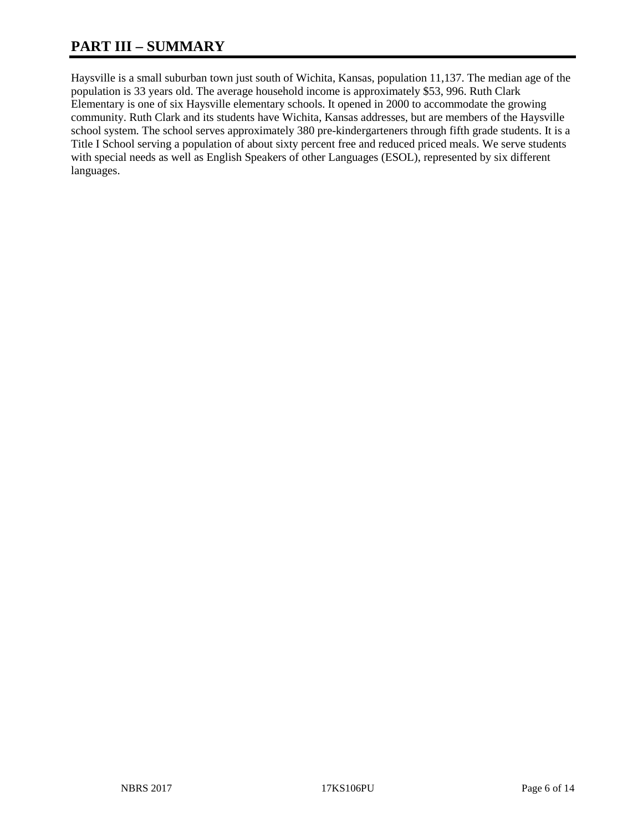# **PART III – SUMMARY**

Haysville is a small suburban town just south of Wichita, Kansas, population 11,137. The median age of the population is 33 years old. The average household income is approximately \$53, 996. Ruth Clark Elementary is one of six Haysville elementary schools. It opened in 2000 to accommodate the growing community. Ruth Clark and its students have Wichita, Kansas addresses, but are members of the Haysville school system. The school serves approximately 380 pre-kindergarteners through fifth grade students. It is a Title I School serving a population of about sixty percent free and reduced priced meals. We serve students with special needs as well as English Speakers of other Languages (ESOL), represented by six different languages.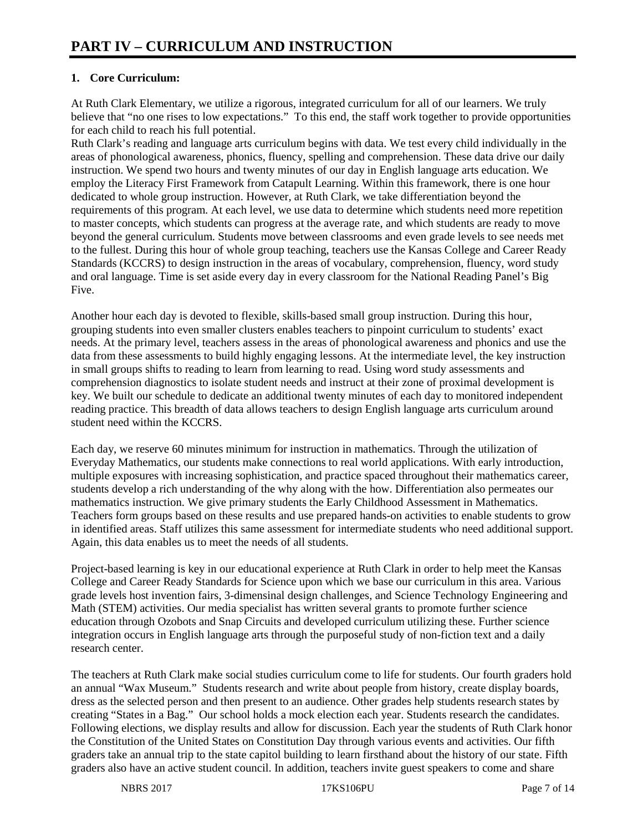# **1. Core Curriculum:**

At Ruth Clark Elementary, we utilize a rigorous, integrated curriculum for all of our learners. We truly believe that "no one rises to low expectations." To this end, the staff work together to provide opportunities for each child to reach his full potential.

Ruth Clark's reading and language arts curriculum begins with data. We test every child individually in the areas of phonological awareness, phonics, fluency, spelling and comprehension. These data drive our daily instruction. We spend two hours and twenty minutes of our day in English language arts education. We employ the Literacy First Framework from Catapult Learning. Within this framework, there is one hour dedicated to whole group instruction. However, at Ruth Clark, we take differentiation beyond the requirements of this program. At each level, we use data to determine which students need more repetition to master concepts, which students can progress at the average rate, and which students are ready to move beyond the general curriculum. Students move between classrooms and even grade levels to see needs met to the fullest. During this hour of whole group teaching, teachers use the Kansas College and Career Ready Standards (KCCRS) to design instruction in the areas of vocabulary, comprehension, fluency, word study and oral language. Time is set aside every day in every classroom for the National Reading Panel's Big Five.

Another hour each day is devoted to flexible, skills-based small group instruction. During this hour, grouping students into even smaller clusters enables teachers to pinpoint curriculum to students' exact needs. At the primary level, teachers assess in the areas of phonological awareness and phonics and use the data from these assessments to build highly engaging lessons. At the intermediate level, the key instruction in small groups shifts to reading to learn from learning to read. Using word study assessments and comprehension diagnostics to isolate student needs and instruct at their zone of proximal development is key. We built our schedule to dedicate an additional twenty minutes of each day to monitored independent reading practice. This breadth of data allows teachers to design English language arts curriculum around student need within the KCCRS.

Each day, we reserve 60 minutes minimum for instruction in mathematics. Through the utilization of Everyday Mathematics, our students make connections to real world applications. With early introduction, multiple exposures with increasing sophistication, and practice spaced throughout their mathematics career, students develop a rich understanding of the why along with the how. Differentiation also permeates our mathematics instruction. We give primary students the Early Childhood Assessment in Mathematics. Teachers form groups based on these results and use prepared hands-on activities to enable students to grow in identified areas. Staff utilizes this same assessment for intermediate students who need additional support. Again, this data enables us to meet the needs of all students.

Project-based learning is key in our educational experience at Ruth Clark in order to help meet the Kansas College and Career Ready Standards for Science upon which we base our curriculum in this area. Various grade levels host invention fairs, 3-dimensinal design challenges, and Science Technology Engineering and Math (STEM) activities. Our media specialist has written several grants to promote further science education through Ozobots and Snap Circuits and developed curriculum utilizing these. Further science integration occurs in English language arts through the purposeful study of non-fiction text and a daily research center.

The teachers at Ruth Clark make social studies curriculum come to life for students. Our fourth graders hold an annual "Wax Museum." Students research and write about people from history, create display boards. dress as the selected person and then present to an audience. Other grades help students research states by creating "States in a Bag." Our school holds a mock election each year. Students research the candidates. Following elections, we display results and allow for discussion. Each year the students of Ruth Clark honor the Constitution of the United States on Constitution Day through various events and activities. Our fifth graders take an annual trip to the state capitol building to learn firsthand about the history of our state. Fifth graders also have an active student council. In addition, teachers invite guest speakers to come and share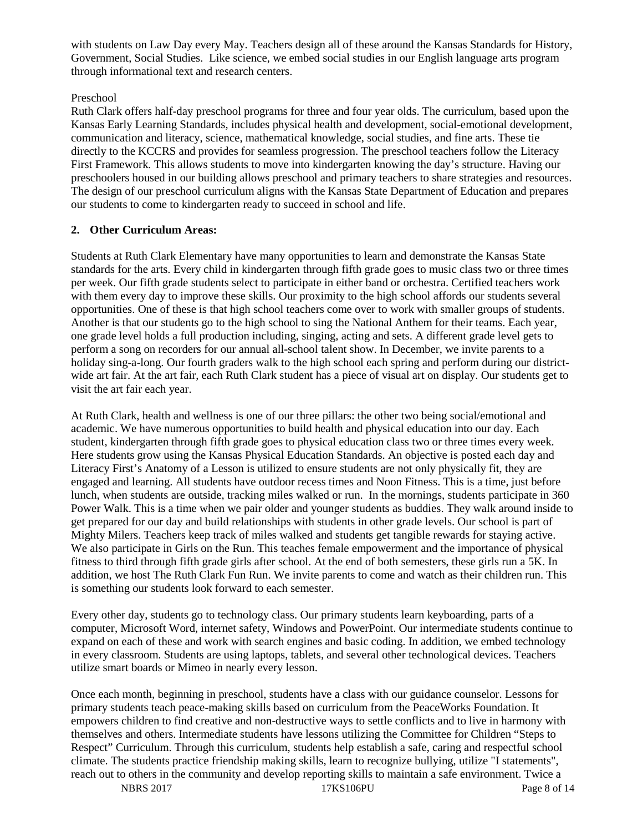with students on Law Day every May. Teachers design all of these around the Kansas Standards for History, Government, Social Studies. Like science, we embed social studies in our English language arts program through informational text and research centers.

# Preschool

Ruth Clark offers half-day preschool programs for three and four year olds. The curriculum, based upon the Kansas Early Learning Standards, includes physical health and development, social-emotional development, communication and literacy, science, mathematical knowledge, social studies, and fine arts. These tie directly to the KCCRS and provides for seamless progression. The preschool teachers follow the Literacy First Framework. This allows students to move into kindergarten knowing the day's structure. Having our preschoolers housed in our building allows preschool and primary teachers to share strategies and resources. The design of our preschool curriculum aligns with the Kansas State Department of Education and prepares our students to come to kindergarten ready to succeed in school and life.

## **2. Other Curriculum Areas:**

Students at Ruth Clark Elementary have many opportunities to learn and demonstrate the Kansas State standards for the arts. Every child in kindergarten through fifth grade goes to music class two or three times per week. Our fifth grade students select to participate in either band or orchestra. Certified teachers work with them every day to improve these skills. Our proximity to the high school affords our students several opportunities. One of these is that high school teachers come over to work with smaller groups of students. Another is that our students go to the high school to sing the National Anthem for their teams. Each year, one grade level holds a full production including, singing, acting and sets. A different grade level gets to perform a song on recorders for our annual all-school talent show. In December, we invite parents to a holiday sing-a-long. Our fourth graders walk to the high school each spring and perform during our districtwide art fair. At the art fair, each Ruth Clark student has a piece of visual art on display. Our students get to visit the art fair each year.

At Ruth Clark, health and wellness is one of our three pillars: the other two being social/emotional and academic. We have numerous opportunities to build health and physical education into our day. Each student, kindergarten through fifth grade goes to physical education class two or three times every week. Here students grow using the Kansas Physical Education Standards. An objective is posted each day and Literacy First's Anatomy of a Lesson is utilized to ensure students are not only physically fit, they are engaged and learning. All students have outdoor recess times and Noon Fitness. This is a time, just before lunch, when students are outside, tracking miles walked or run. In the mornings, students participate in 360 Power Walk. This is a time when we pair older and younger students as buddies. They walk around inside to get prepared for our day and build relationships with students in other grade levels. Our school is part of Mighty Milers. Teachers keep track of miles walked and students get tangible rewards for staying active. We also participate in Girls on the Run. This teaches female empowerment and the importance of physical fitness to third through fifth grade girls after school. At the end of both semesters, these girls run a 5K. In addition, we host The Ruth Clark Fun Run. We invite parents to come and watch as their children run. This is something our students look forward to each semester.

Every other day, students go to technology class. Our primary students learn keyboarding, parts of a computer, Microsoft Word, internet safety, Windows and PowerPoint. Our intermediate students continue to expand on each of these and work with search engines and basic coding. In addition, we embed technology in every classroom. Students are using laptops, tablets, and several other technological devices. Teachers utilize smart boards or Mimeo in nearly every lesson.

Once each month, beginning in preschool, students have a class with our guidance counselor. Lessons for primary students teach peace-making skills based on curriculum from the PeaceWorks Foundation. It empowers children to find creative and non-destructive ways to settle conflicts and to live in harmony with themselves and others. Intermediate students have lessons utilizing the Committee for Children "Steps to Respect" Curriculum. Through this curriculum, students help establish a safe, caring and respectful school climate. The students practice friendship making skills, learn to recognize bullying, utilize "I statements", reach out to others in the community and develop reporting skills to maintain a safe environment. Twice a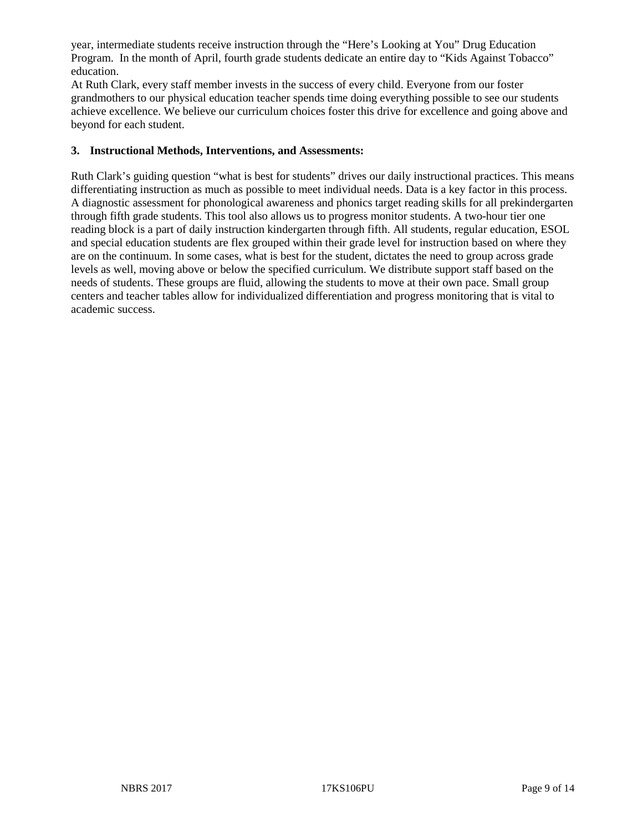year, intermediate students receive instruction through the "Here's Looking at You" Drug Education Program. In the month of April, fourth grade students dedicate an entire day to "Kids Against Tobacco" education.

At Ruth Clark, every staff member invests in the success of every child. Everyone from our foster grandmothers to our physical education teacher spends time doing everything possible to see our students achieve excellence. We believe our curriculum choices foster this drive for excellence and going above and beyond for each student.

### **3. Instructional Methods, Interventions, and Assessments:**

Ruth Clark's guiding question "what is best for students" drives our daily instructional practices. This means differentiating instruction as much as possible to meet individual needs. Data is a key factor in this process. A diagnostic assessment for phonological awareness and phonics target reading skills for all prekindergarten through fifth grade students. This tool also allows us to progress monitor students. A two-hour tier one reading block is a part of daily instruction kindergarten through fifth. All students, regular education, ESOL and special education students are flex grouped within their grade level for instruction based on where they are on the continuum. In some cases, what is best for the student, dictates the need to group across grade levels as well, moving above or below the specified curriculum. We distribute support staff based on the needs of students. These groups are fluid, allowing the students to move at their own pace. Small group centers and teacher tables allow for individualized differentiation and progress monitoring that is vital to academic success.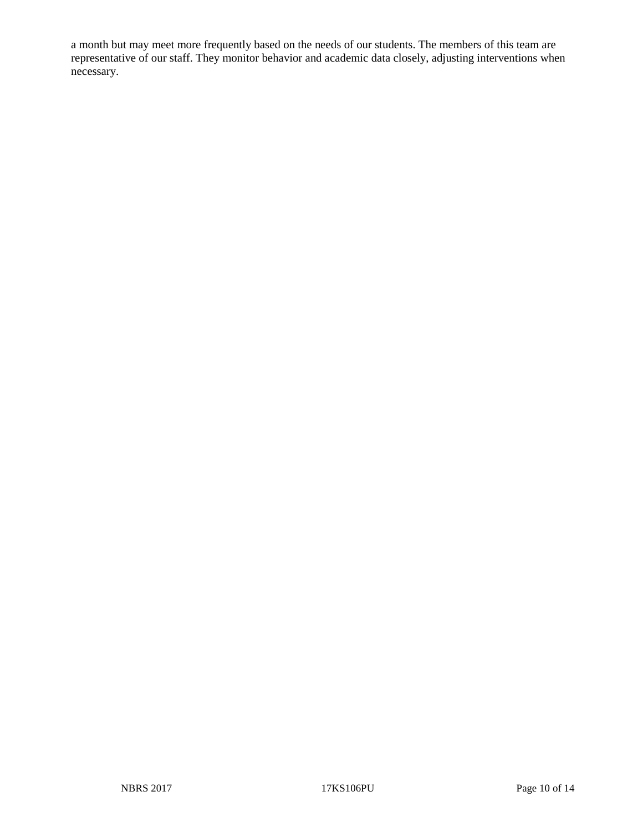a month but may meet more frequently based on the needs of our students. The members of this team are representative of our staff. They monitor behavior and academic data closely, adjusting interventions when necessary.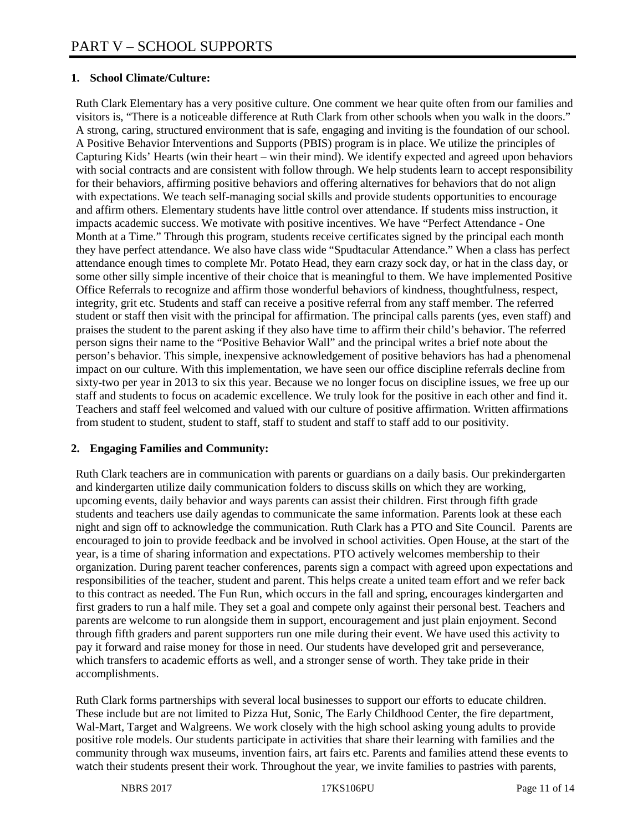# **1. School Climate/Culture:**

Ruth Clark Elementary has a very positive culture. One comment we hear quite often from our families and visitors is, "There is a noticeable difference at Ruth Clark from other schools when you walk in the doors." A strong, caring, structured environment that is safe, engaging and inviting is the foundation of our school. A Positive Behavior Interventions and Supports (PBIS) program is in place. We utilize the principles of Capturing Kids' Hearts (win their heart – win their mind). We identify expected and agreed upon behaviors with social contracts and are consistent with follow through. We help students learn to accept responsibility for their behaviors, affirming positive behaviors and offering alternatives for behaviors that do not align with expectations. We teach self-managing social skills and provide students opportunities to encourage and affirm others. Elementary students have little control over attendance. If students miss instruction, it impacts academic success. We motivate with positive incentives. We have "Perfect Attendance - One Month at a Time." Through this program, students receive certificates signed by the principal each month they have perfect attendance. We also have class wide "Spudtacular Attendance." When a class has perfect attendance enough times to complete Mr. Potato Head, they earn crazy sock day, or hat in the class day, or some other silly simple incentive of their choice that is meaningful to them. We have implemented Positive Office Referrals to recognize and affirm those wonderful behaviors of kindness, thoughtfulness, respect, integrity, grit etc. Students and staff can receive a positive referral from any staff member. The referred student or staff then visit with the principal for affirmation. The principal calls parents (yes, even staff) and praises the student to the parent asking if they also have time to affirm their child's behavior. The referred person signs their name to the "Positive Behavior Wall" and the principal writes a brief note about the person's behavior. This simple, inexpensive acknowledgement of positive behaviors has had a phenomenal impact on our culture. With this implementation, we have seen our office discipline referrals decline from sixty-two per year in 2013 to six this year. Because we no longer focus on discipline issues, we free up our staff and students to focus on academic excellence. We truly look for the positive in each other and find it. Teachers and staff feel welcomed and valued with our culture of positive affirmation. Written affirmations from student to student, student to staff, staff to student and staff to staff add to our positivity.

#### **2. Engaging Families and Community:**

Ruth Clark teachers are in communication with parents or guardians on a daily basis. Our prekindergarten and kindergarten utilize daily communication folders to discuss skills on which they are working, upcoming events, daily behavior and ways parents can assist their children. First through fifth grade students and teachers use daily agendas to communicate the same information. Parents look at these each night and sign off to acknowledge the communication. Ruth Clark has a PTO and Site Council. Parents are encouraged to join to provide feedback and be involved in school activities. Open House, at the start of the year, is a time of sharing information and expectations. PTO actively welcomes membership to their organization. During parent teacher conferences, parents sign a compact with agreed upon expectations and responsibilities of the teacher, student and parent. This helps create a united team effort and we refer back to this contract as needed. The Fun Run, which occurs in the fall and spring, encourages kindergarten and first graders to run a half mile. They set a goal and compete only against their personal best. Teachers and parents are welcome to run alongside them in support, encouragement and just plain enjoyment. Second through fifth graders and parent supporters run one mile during their event. We have used this activity to pay it forward and raise money for those in need. Our students have developed grit and perseverance, which transfers to academic efforts as well, and a stronger sense of worth. They take pride in their accomplishments.

Ruth Clark forms partnerships with several local businesses to support our efforts to educate children. These include but are not limited to Pizza Hut, Sonic, The Early Childhood Center, the fire department, Wal-Mart, Target and Walgreens. We work closely with the high school asking young adults to provide positive role models. Our students participate in activities that share their learning with families and the community through wax museums, invention fairs, art fairs etc. Parents and families attend these events to watch their students present their work. Throughout the year, we invite families to pastries with parents,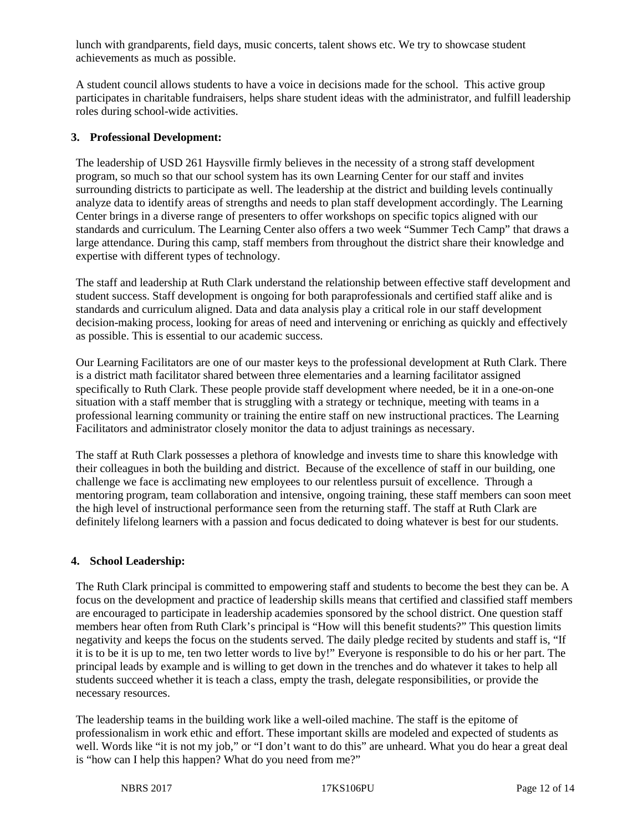lunch with grandparents, field days, music concerts, talent shows etc. We try to showcase student achievements as much as possible.

A student council allows students to have a voice in decisions made for the school. This active group participates in charitable fundraisers, helps share student ideas with the administrator, and fulfill leadership roles during school-wide activities.

#### **3. Professional Development:**

The leadership of USD 261 Haysville firmly believes in the necessity of a strong staff development program, so much so that our school system has its own Learning Center for our staff and invites surrounding districts to participate as well. The leadership at the district and building levels continually analyze data to identify areas of strengths and needs to plan staff development accordingly. The Learning Center brings in a diverse range of presenters to offer workshops on specific topics aligned with our standards and curriculum. The Learning Center also offers a two week "Summer Tech Camp" that draws a large attendance. During this camp, staff members from throughout the district share their knowledge and expertise with different types of technology.

The staff and leadership at Ruth Clark understand the relationship between effective staff development and student success. Staff development is ongoing for both paraprofessionals and certified staff alike and is standards and curriculum aligned. Data and data analysis play a critical role in our staff development decision-making process, looking for areas of need and intervening or enriching as quickly and effectively as possible. This is essential to our academic success.

Our Learning Facilitators are one of our master keys to the professional development at Ruth Clark. There is a district math facilitator shared between three elementaries and a learning facilitator assigned specifically to Ruth Clark. These people provide staff development where needed, be it in a one-on-one situation with a staff member that is struggling with a strategy or technique, meeting with teams in a professional learning community or training the entire staff on new instructional practices. The Learning Facilitators and administrator closely monitor the data to adjust trainings as necessary.

The staff at Ruth Clark possesses a plethora of knowledge and invests time to share this knowledge with their colleagues in both the building and district. Because of the excellence of staff in our building, one challenge we face is acclimating new employees to our relentless pursuit of excellence. Through a mentoring program, team collaboration and intensive, ongoing training, these staff members can soon meet the high level of instructional performance seen from the returning staff. The staff at Ruth Clark are definitely lifelong learners with a passion and focus dedicated to doing whatever is best for our students.

#### **4. School Leadership:**

The Ruth Clark principal is committed to empowering staff and students to become the best they can be. A focus on the development and practice of leadership skills means that certified and classified staff members are encouraged to participate in leadership academies sponsored by the school district. One question staff members hear often from Ruth Clark's principal is "How will this benefit students?" This question limits negativity and keeps the focus on the students served. The daily pledge recited by students and staff is, "If it is to be it is up to me, ten two letter words to live by!" Everyone is responsible to do his or her part. The principal leads by example and is willing to get down in the trenches and do whatever it takes to help all students succeed whether it is teach a class, empty the trash, delegate responsibilities, or provide the necessary resources.

The leadership teams in the building work like a well-oiled machine. The staff is the epitome of professionalism in work ethic and effort. These important skills are modeled and expected of students as well. Words like "it is not my job," or "I don't want to do this" are unheard. What you do hear a great deal is "how can I help this happen? What do you need from me?"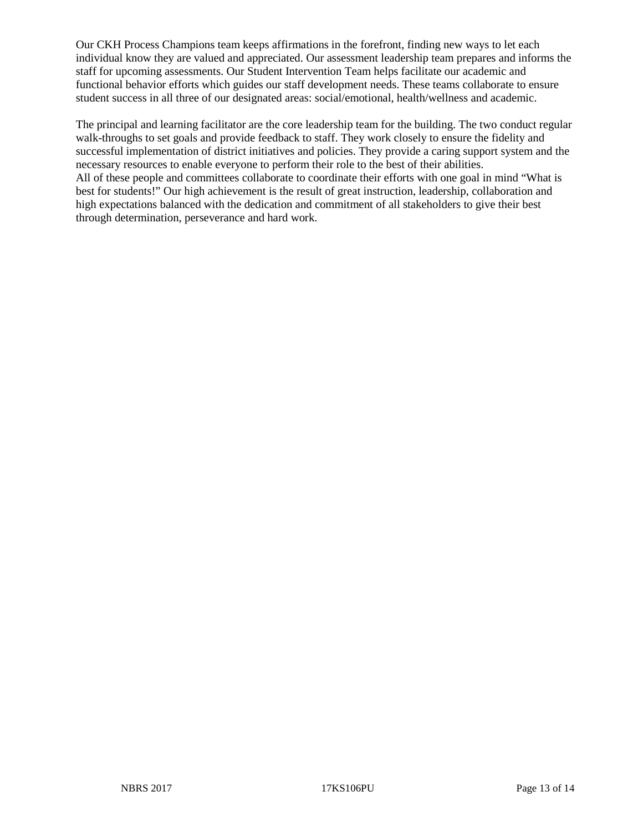Our CKH Process Champions team keeps affirmations in the forefront, finding new ways to let each individual know they are valued and appreciated. Our assessment leadership team prepares and informs the staff for upcoming assessments. Our Student Intervention Team helps facilitate our academic and functional behavior efforts which guides our staff development needs. These teams collaborate to ensure student success in all three of our designated areas: social/emotional, health/wellness and academic.

The principal and learning facilitator are the core leadership team for the building. The two conduct regular walk-throughs to set goals and provide feedback to staff. They work closely to ensure the fidelity and successful implementation of district initiatives and policies. They provide a caring support system and the necessary resources to enable everyone to perform their role to the best of their abilities. All of these people and committees collaborate to coordinate their efforts with one goal in mind "What is best for students!" Our high achievement is the result of great instruction, leadership, collaboration and high expectations balanced with the dedication and commitment of all stakeholders to give their best through determination, perseverance and hard work.